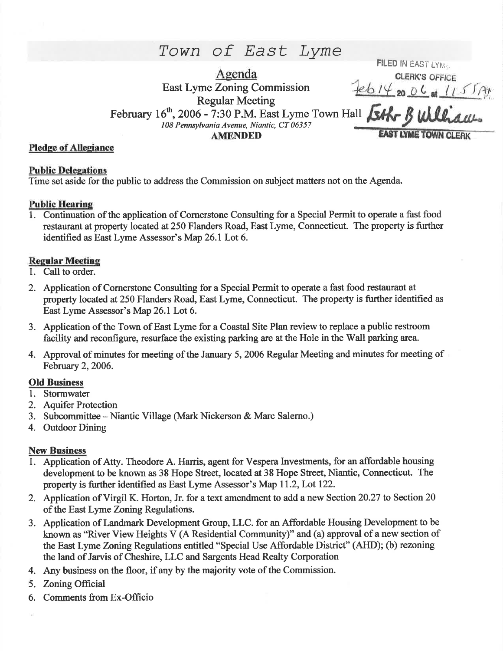# Town of East Lyme

Agenda East Lyme Zoning Commission Regular Meeting February  $16^{th}$ , 2006 - 7:30 P.M. East Lyme Town Hall  $\frac{1}{3}$  will aw-108 Pennsylvanio Avenue, Niantic, CT 06357 **AMENDED FILED IN EAST LYME.** CLERK'S OFFICE<br>feb 14 20 06 at (15) A

### Pledge of Allegiance

### **Public Delegations**

Time set aside for the public to address the Commission on subject matters not on the Agenda.

### Public Hearine

1. Continuation of the application of Comerstone Consulting for a Special Permit to operate a fast food restaurant at property located at 250 Flanders Road, East Lyme, Connecticut. The property is further identified as East Lyme Assessor's Map 26.1 Lot 6.

### Regular Meefing

- 1. Call to order.
- 2. Application of Cornerstone Consulting for a Special Permit to operate a fast food restaurant at property located at 250 Flanders Road, East Lyme, Connecticut. The property is further identified as East Lyme Assessor's Map 26.1 Lot 6.
- 3. Application of the Town of East Lyme for a Coastal Site Plan review to replace a public restoom facility and reconfigure, resurface the existing parking are at the Hole in the Wall parking area.
- 4. Approval of minutes for meeting of the January 5, 2006 Regular Meeting and minutes for meeting of February 2, 2006.

# Old Business

- l. Stormwater
- 2. Aquifer Protection
- 3. Subcommittee Niantic Village (Mark Nickerson & Marc Salerno.)
- 4. Outdoor Dining

# **New Business**

- 1. Application of Atty. Theodore A. Harris, agent for Vespera Investments, for an affordable housing development to be known as 38 Hope Street, located at 38 Hope Street, Niantic, Connecticut. The property is further identified as East Lyme Assessor's Map 11.2, Lot 122.
- 2. Application of Virgil K. Horton, Jr. for a text amendment to add a new Section 20.27 to Section 20 of the East Lyme Zoning Regulations.
- 3. Application of Landmark Development Group, LLC. for an Affordable Housing Development to be known as "River View Heights V (A Residential Community)" and (a) approval of a new section of the East Lyme Zoning Regulations entitled "Special Use Affordable District" (AHD); (b) rezoning the land of Jarvis of Cheshire, LLC and Sargents Head Realty Corporation
- 4. Any business on the floor, if any by the majority vote of the Commission.
- 5. Zoning Official
- 6. Comments from Ex-Officio